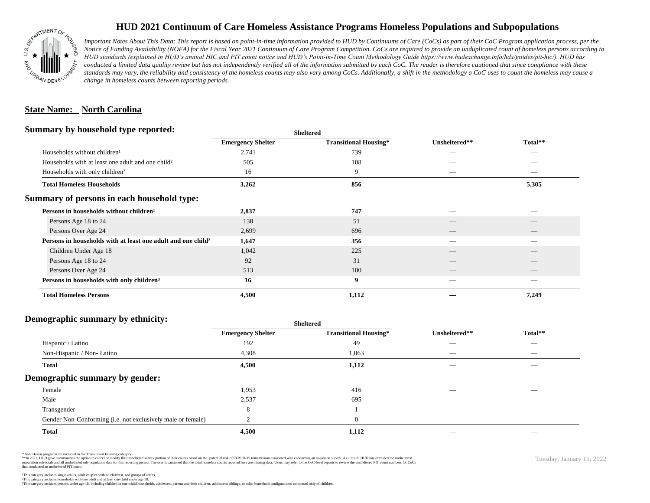

## **HUD 2021 Continuum of Care Homeless Assistance Programs Homeless Populations and Subpopulations**

*Important Notes About This Data: This report is based on point-in-time information provided to HUD by Continuums of Care (CoCs) as part of their CoC Program application process, per the Notice of Funding Availability (NOFA) for the Fiscal Year 2021 Continuum of Care Program Competition. CoCs are required to provide an unduplicated count of homeless persons according to HUD standards (explained in HUD's annual HIC and PIT count notice and HUD's Point-in-Time Count Methodology Guide https://www.hudexchange.info/hdx/guides/pit-hic/). HUD has*  conducted a limited data quality review but has not independently verified all of the information submitted by each CoC. The reader is therefore cautioned that since compliance with these standards may vary, the reliability and consistency of the homeless counts may also vary among CoCs. Additionally, a shift in the methodology a CoC uses to count the homeless may cause a *change in homeless counts between reporting periods.*

#### **State Name: North Carolina**

#### **Summary by household type reported:**

|                                                                          | patter                   |                              |               |                          |  |
|--------------------------------------------------------------------------|--------------------------|------------------------------|---------------|--------------------------|--|
|                                                                          | <b>Emergency Shelter</b> | <b>Transitional Housing*</b> | Unsheltered** | Total**                  |  |
| Households without children <sup>1</sup>                                 | 2,741                    | 739                          | _             |                          |  |
| Households with at least one adult and one child <sup>2</sup>            | 505                      | 108                          |               |                          |  |
| Households with only children <sup>3</sup>                               | 16                       | 9                            | _             | _                        |  |
| <b>Total Homeless Households</b>                                         | 3,262                    | 856                          |               | 5,305                    |  |
| Summary of persons in each household type:                               |                          |                              |               |                          |  |
| Persons in households without children <sup>1</sup>                      | 2,837                    | 747                          |               |                          |  |
| Persons Age 18 to 24                                                     | 138                      | 51                           |               |                          |  |
| Persons Over Age 24                                                      | 2,699                    | 696                          | __            | $\overline{\phantom{a}}$ |  |
| Persons in households with at least one adult and one child <sup>2</sup> | 1,647                    | 356                          |               |                          |  |
| Children Under Age 18                                                    | 1,042                    | 225                          |               |                          |  |
| Persons Age 18 to 24                                                     | 92                       | 31                           |               |                          |  |
| Persons Over Age 24                                                      | 513                      | 100                          | __            | __                       |  |
| Persons in households with only children <sup>3</sup>                    | 16                       | 9                            |               |                          |  |
| <b>Total Homeless Persons</b>                                            | 4,500                    | 1,112                        |               | 7,249                    |  |
|                                                                          |                          |                              |               |                          |  |

**Sheltered**

## **Demographic summary by ethnicity:**

| ັ<br>. .<br>$\bullet$<br>. .<br>$\ddot{\phantom{1}}$        | Sneitered                |                              |                                 |                                |
|-------------------------------------------------------------|--------------------------|------------------------------|---------------------------------|--------------------------------|
|                                                             | <b>Emergency Shelter</b> | <b>Transitional Housing*</b> | Unsheltered**                   | Total**                        |
| Hispanic / Latino                                           | 192                      | 49                           | _                               | $\overbrace{\hspace{25mm}}^{}$ |
| Non-Hispanic / Non-Latino                                   | 4,308                    | 1,063                        | $\hspace{0.05cm}$               | $\overbrace{\hspace{25mm}}^{}$ |
| <b>Total</b>                                                | 4,500                    | 1,112                        |                                 |                                |
| Demographic summary by gender:                              |                          |                              |                                 |                                |
| Female                                                      | 1,953                    | 416                          | ___                             | $\overline{\phantom{a}}$       |
| Male                                                        | 2,537                    | 695                          | ___                             | $\overline{\phantom{a}}$       |
| Transgender                                                 | 8                        |                              | __                              | $\sim$                         |
| Gender Non-Conforming (i.e. not exclusively male or female) |                          | $\overline{0}$               | $\hspace{0.1mm}-\hspace{0.1mm}$ | $\overbrace{\hspace{25mm}}^{}$ |
| <b>Total</b>                                                | 4,500                    | 1,112                        |                                 |                                |

**Sheltered**

\* Safe Haven programs are included in the Transitional Housing category.

\*\*In 2021, HUD gave communities the option to cancel or modify the unsheltered survey portion of their counts based on the potential risk of COVID-19 transmission associated with conducting an in-person survey. As a result n political data for this reporting period. The user is cautioned that the total homeless counts reported here are missing data. Users may refer to the CoC-level reports to review the unshellered PIT count numbers for CoCs that conducted an unsheltered PIT count.

Tuesday, January 11, 2022